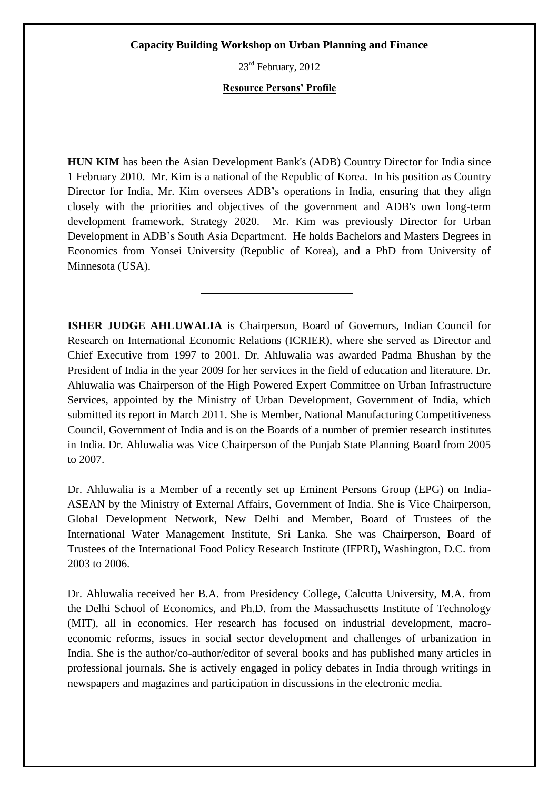23<sup>rd</sup> February, 2012

# **Resource Persons' Profile**

**HUN KIM** has been the Asian Development Bank's (ADB) Country Director for India since 1 February 2010. Mr. Kim is a national of the Republic of Korea. In his position as Country Director for India, Mr. Kim oversees ADB's operations in India, ensuring that they align closely with the priorities and objectives of the government and ADB's own long-term development framework, Strategy 2020. Mr. Kim was previously Director for Urban Development in ADB's South Asia Department. He holds Bachelors and Masters Degrees in Economics from Yonsei University (Republic of Korea), and a PhD from University of Minnesota (USA).

**ISHER JUDGE AHLUWALIA** is Chairperson, Board of Governors, Indian Council for Research on International Economic Relations (ICRIER), where she served as Director and Chief Executive from 1997 to 2001. Dr. Ahluwalia was awarded Padma Bhushan by the President of India in the year 2009 for her services in the field of education and literature. Dr. Ahluwalia was Chairperson of the High Powered Expert Committee on Urban Infrastructure Services, appointed by the Ministry of Urban Development, Government of India, which submitted its report in March 2011. She is Member, National Manufacturing Competitiveness Council, Government of India and is on the Boards of a number of premier research institutes in India. Dr. Ahluwalia was Vice Chairperson of the Punjab State Planning Board from 2005 to 2007.

Dr. Ahluwalia is a Member of a recently set up Eminent Persons Group (EPG) on India-ASEAN by the Ministry of External Affairs, Government of India. She is Vice Chairperson, Global Development Network, New Delhi and Member, Board of Trustees of the International Water Management Institute, Sri Lanka. She was Chairperson, Board of Trustees of the International Food Policy Research Institute (IFPRI), Washington, D.C. from 2003 to 2006.

Dr. Ahluwalia received her B.A. from Presidency College, Calcutta University, M.A. from the Delhi School of Economics, and Ph.D. from the Massachusetts Institute of Technology (MIT), all in economics. Her research has focused on industrial development, macroeconomic reforms, issues in social sector development and challenges of urbanization in India. She is the author/co-author/editor of several books and has published many articles in professional journals. She is actively engaged in policy debates in India through writings in newspapers and magazines and participation in discussions in the electronic media.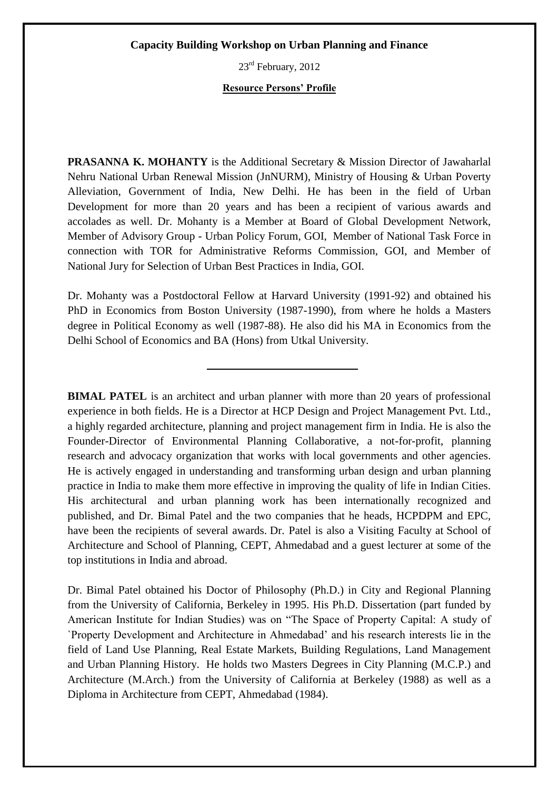23<sup>rd</sup> February, 2012

# **Resource Persons' Profile**

**PRASANNA K. MOHANTY** is the Additional Secretary & Mission Director of Jawaharlal Nehru National Urban Renewal Mission (JnNURM), Ministry of Housing & Urban Poverty Alleviation, Government of India, New Delhi. He has been in the field of Urban Development for more than 20 years and has been a recipient of various awards and accolades as well. Dr. Mohanty is a Member at Board of Global Development Network, Member of Advisory Group - Urban Policy Forum, GOI, Member of National Task Force in connection with TOR for Administrative Reforms Commission, GOI, and Member of National Jury for Selection of Urban Best Practices in India, GOI.

Dr. Mohanty was a Postdoctoral Fellow at Harvard University (1991-92) and obtained his PhD in Economics from Boston University (1987-1990), from where he holds a Masters degree in Political Economy as well (1987-88). He also did his MA in Economics from the Delhi School of Economics and BA (Hons) from Utkal University.

**BIMAL PATEL** is an architect and urban planner with more than 20 years of professional experience in both fields. He is a Director at HCP Design and Project Management Pvt. Ltd., a highly regarded architecture, planning and project management firm in India. He is also the Founder-Director of Environmental Planning Collaborative, a not-for-profit, planning research and advocacy organization that works with local governments and other agencies. He is actively engaged in understanding and transforming urban design and urban planning practice in India to make them more effective in improving the quality of life in Indian Cities. His architectural and urban planning work has been internationally recognized and published, and Dr. Bimal Patel and the two companies that he heads, HCPDPM and EPC, have been the recipients of several awards. Dr. Patel is also a Visiting Faculty at School of Architecture and School of Planning, CEPT, Ahmedabad and a guest lecturer at some of the top institutions in India and abroad.

Dr. Bimal Patel obtained his Doctor of Philosophy (Ph.D.) in City and Regional Planning from the University of California, Berkeley in 1995. His Ph.D. Dissertation (part funded by American Institute for Indian Studies) was on "The Space of Property Capital: A study of `Property Development and Architecture in Ahmedabad' and his research interests lie in the field of Land Use Planning, Real Estate Markets, Building Regulations, Land Management and Urban Planning History. He holds two Masters Degrees in City Planning (M.C.P.) and Architecture (M.Arch.) from the University of California at Berkeley (1988) as well as a Diploma in Architecture from CEPT, Ahmedabad (1984).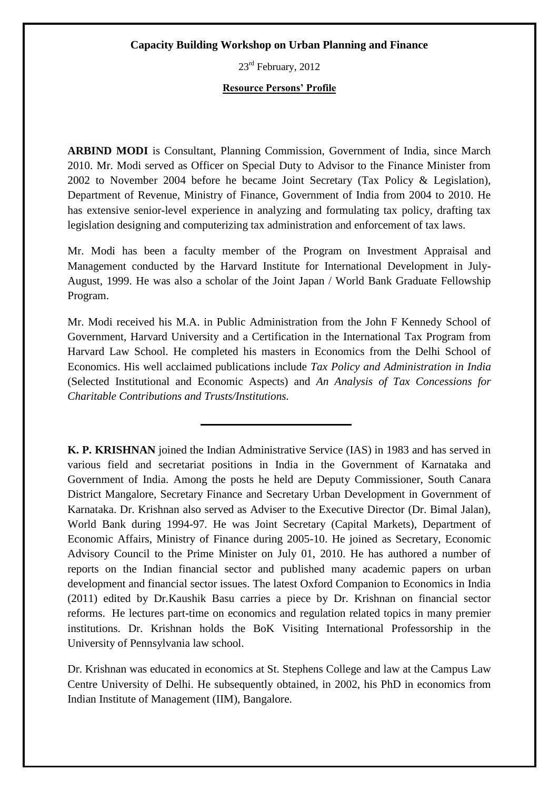23rd February, 2012

### **Resource Persons' Profile**

**ARBIND MODI** is Consultant, Planning Commission, Government of India, since March 2010. Mr. Modi served as Officer on Special Duty to Advisor to the Finance Minister from 2002 to November 2004 before he became Joint Secretary (Tax Policy & Legislation), Department of Revenue, Ministry of Finance, Government of India from 2004 to 2010. He has extensive senior-level experience in analyzing and formulating tax policy, drafting tax legislation designing and computerizing tax administration and enforcement of tax laws.

Mr. Modi has been a faculty member of the Program on Investment Appraisal and Management conducted by the Harvard Institute for International Development in July-August, 1999. He was also a scholar of the Joint Japan / World Bank Graduate Fellowship Program.

Mr. Modi received his M.A. in Public Administration from the John F Kennedy School of Government, Harvard University and a Certification in the International Tax Program from Harvard Law School. He completed his masters in Economics from the Delhi School of Economics. His well acclaimed publications include *Tax Policy and Administration in India* (Selected Institutional and Economic Aspects) and *An Analysis of Tax Concessions for Charitable Contributions and Trusts/Institutions.* 

**K. P. KRISHNAN** joined the Indian Administrative Service (IAS) in 1983 and has served in various field and secretariat positions in India in the Government of Karnataka and Government of India. Among the posts he held are Deputy Commissioner, South Canara District Mangalore, Secretary Finance and Secretary Urban Development in Government of Karnataka. Dr. Krishnan also served as Adviser to the Executive Director (Dr. Bimal Jalan), World Bank during 1994-97. He was Joint Secretary (Capital Markets), Department of Economic Affairs, Ministry of Finance during 2005-10. He joined as Secretary, Economic Advisory Council to the Prime Minister on July 01, 2010. He has authored a number of reports on the Indian financial sector and published many academic papers on urban development and financial sector issues. The latest Oxford Companion to Economics in India (2011) edited by Dr.Kaushik Basu carries a piece by Dr. Krishnan on financial sector reforms. He lectures part-time on economics and regulation related topics in many premier institutions. Dr. Krishnan holds the BoK Visiting International Professorship in the University of Pennsylvania law school.

Dr. Krishnan was educated in economics at St. Stephens College and law at the Campus Law Centre University of Delhi. He subsequently obtained, in 2002, his PhD in economics from Indian Institute of Management (IIM), Bangalore.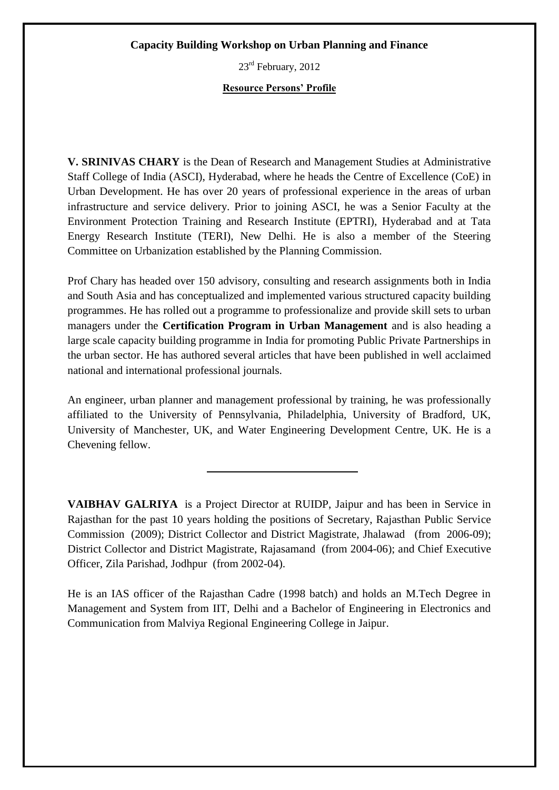23rd February, 2012

# **Resource Persons' Profile**

**V. SRINIVAS CHARY** is the Dean of Research and Management Studies at Administrative Staff College of India (ASCI), Hyderabad, where he heads the Centre of Excellence (CoE) in Urban Development. He has over 20 years of professional experience in the areas of urban infrastructure and service delivery. Prior to joining ASCI, he was a Senior Faculty at the Environment Protection Training and Research Institute (EPTRI), Hyderabad and at Tata Energy Research Institute (TERI), New Delhi. He is also a member of the Steering Committee on Urbanization established by the Planning Commission.

Prof Chary has headed over 150 advisory, consulting and research assignments both in India and South Asia and has conceptualized and implemented various structured capacity building programmes. He has rolled out a programme to professionalize and provide skill sets to urban managers under the **Certification Program in Urban Management** and is also heading a large scale capacity building programme in India for promoting Public Private Partnerships in the urban sector. He has authored several articles that have been published in well acclaimed national and international professional journals.

An engineer, urban planner and management professional by training, he was professionally affiliated to the University of Pennsylvania, Philadelphia, University of Bradford, UK, University of Manchester, UK, and Water Engineering Development Centre, UK. He is a Chevening fellow.

**VAIBHAV GALRIYA** is a Project Director at RUIDP, Jaipur and has been in Service in Rajasthan for the past 10 years holding the positions of Secretary, Rajasthan Public Service Commission (2009); District Collector and District Magistrate, Jhalawad (from 2006-09); District Collector and District Magistrate, Rajasamand (from 2004-06); and Chief Executive Officer, Zila Parishad, Jodhpur (from 2002-04).

He is an IAS officer of the Rajasthan Cadre (1998 batch) and holds an M.Tech Degree in Management and System from IIT, Delhi and a Bachelor of Engineering in Electronics and Communication from Malviya Regional Engineering College in Jaipur.